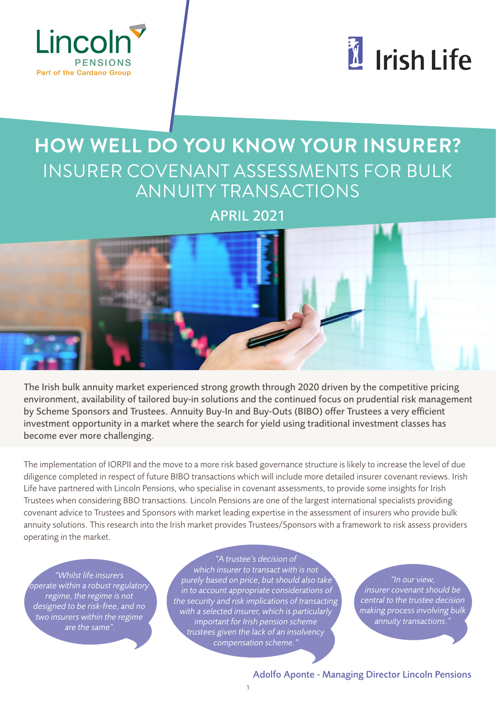



# **HOW WELL DO YOU KNOW YOUR INSURER?** INSURER COVENANT ASSESSMENTS FOR BULK ANNUITY TRANSACTIONS

APRIL 2021



The Irish bulk annuity market experienced strong growth through 2020 driven by the competitive pricing environment, availability of tailored buy-in solutions and the continued focus on prudential risk management by Scheme Sponsors and Trustees. Annuity Buy-In and Buy-Outs (BIBO) offer Trustees a very efficient investment opportunity in a market where the search for yield using traditional investment classes has become ever more challenging.

The implementation of IORPII and the move to a more risk based governance structure is likely to increase the level of due diligence completed in respect of future BIBO transactions which will include more detailed insurer covenant reviews. Irish Life have partnered with Lincoln Pensions, who specialise in covenant assessments, to provide some insights for Irish Trustees when considering BBO transactions. Lincoln Pensions are one of the largest international specialists providing covenant advice to Trustees and Sponsors with market leading expertise in the assessment of insurers who provide bulk annuity solutions. This research into the Irish market provides Trustees/Sponsors with a framework to risk assess providers operating in the market.

*"Whilst life insurers operate within a robust regulatory regime, the regime is not designed to be risk-free, and no two insurers within the regime are the same".* 

*"A trustee's decision of which insurer to transact with is not purely based on price, but should also take in to account appropriate considerations of the security and risk implications of transacting with a selected insurer, which is particularly important for Irish pension scheme trustees given the lack of an insolvency compensation scheme."*

*"In our view, insurer covenant should be central to the trustee decision making process involving bulk annuity transactions."*

Adolfo Aponte - Managing Director Lincoln Pensions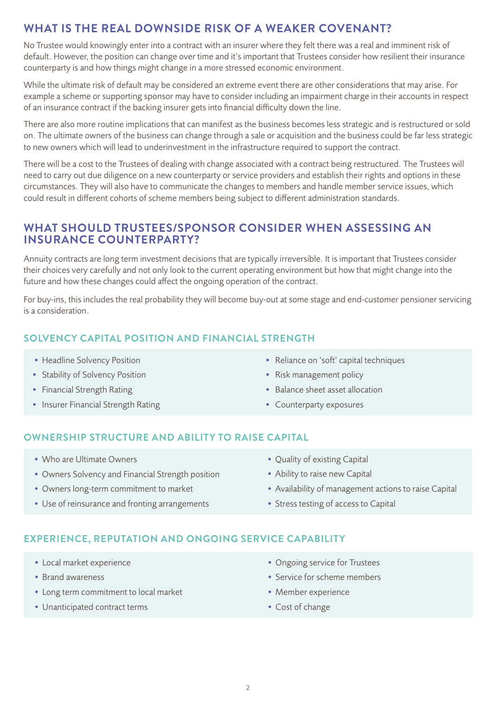# **WHAT IS THE REAL DOWNSIDE RISK OF A WEAKER COVENANT?**

No Trustee would knowingly enter into a contract with an insurer where they felt there was a real and imminent risk of default. However, the position can change over time and it's important that Trustees consider how resilient their insurance counterparty is and how things might change in a more stressed economic environment.

While the ultimate risk of default may be considered an extreme event there are other considerations that may arise. For example a scheme or supporting sponsor may have to consider including an impairment charge in their accounts in respect of an insurance contract if the backing insurer gets into financial difficulty down the line.

There are also more routine implications that can manifest as the business becomes less strategic and is restructured or sold on. The ultimate owners of the business can change through a sale or acquisition and the business could be far less strategic to new owners which will lead to underinvestment in the infrastructure required to support the contract.

There will be a cost to the Trustees of dealing with change associated with a contract being restructured. The Trustees will need to carry out due diligence on a new counterparty or service providers and establish their rights and options in these circumstances. They will also have to communicate the changes to members and handle member service issues, which could result in different cohorts of scheme members being subject to different administration standards.

## **WHAT SHOULD TRUSTEES/SPONSOR CONSIDER WHEN ASSESSING AN INSURANCE COUNTERPARTY?**

Annuity contracts are long term investment decisions that are typically irreversible. It is important that Trustees consider their choices very carefully and not only look to the current operating environment but how that might change into the future and how these changes could affect the ongoing operation of the contract.

For buy-ins, this includes the real probability they will become buy-out at some stage and end-customer pensioner servicing is a consideration.

## **SOLVENCY CAPITAL POSITION AND FINANCIAL STRENGTH**

- Headline Solvency Position
- Stability of Solvency Position
- Financial Strength Rating
- Insurer Financial Strength Rating
- Reliance on 'soft' capital techniques
- Risk management policy
- Balance sheet asset allocation
- Counterparty exposures

## **OWNERSHIP STRUCTURE AND ABILITY TO RAISE CAPITAL**

- Who are Ultimate Owners
- Owners Solvency and Financial Strength position
- Owners long-term commitment to market
- Use of reinsurance and fronting arrangements
- Quality of existing Capital
- Ability to raise new Capital
- Availability of management actions to raise Capital
- Stress testing of access to Capital

#### **EXPERIENCE, REPUTATION AND ONGOING SERVICE CAPABILITY**

- Local market experience
- Brand awareness
- Long term commitment to local market
- Unanticipated contract terms
- Ongoing service for Trustees
- Service for scheme members
- Member experience
- Cost of change